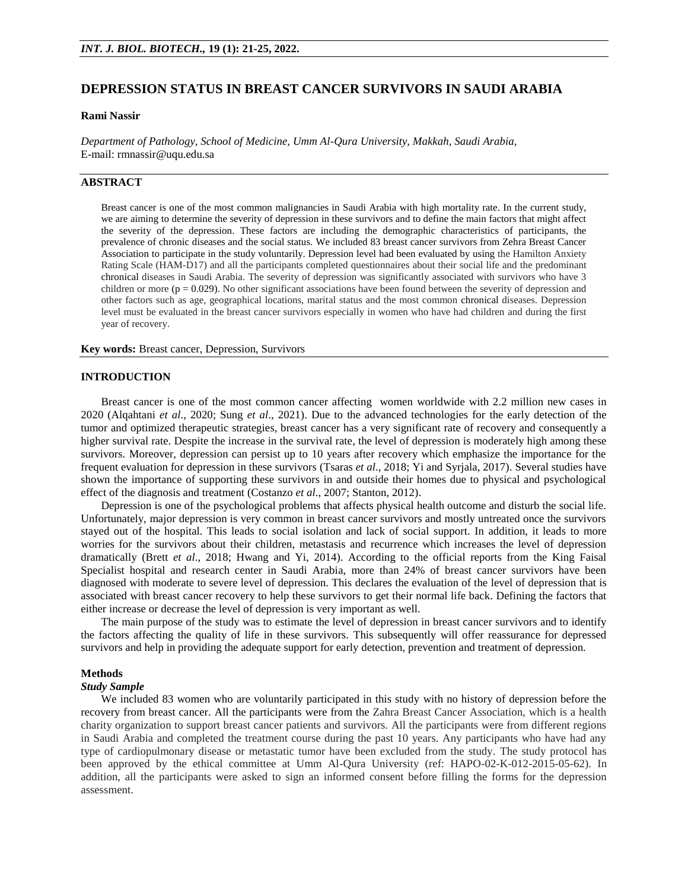# **DEPRESSION STATUS IN BREAST CANCER SURVIVORS IN SAUDI ARABIA**

#### **Rami Nassir**

*Department of Pathology, School of Medicine, Umm Al-Qura University, Makkah, Saudi Arabia,*  E-mail: [rmnassir@uqu.edu.sa](mailto:rmnassir@uqu.edu.sa)

# **ABSTRACT**

Breast cancer is one of the most common malignancies in Saudi Arabia with high mortality rate. In the current study, we are aiming to determine the severity of depression in these survivors and to define the main factors that might affect the severity of the depression. These factors are including the demographic characteristics of participants, the prevalence of chronic diseases and the social status. We included 83 breast cancer survivors from Zehra Breast Cancer Association to participate in the study voluntarily. Depression level had been evaluated by using the Hamilton Anxiety Rating Scale (HAM-D17) and all the participants completed questionnaires about their social life and the predominant chronical diseases in Saudi Arabia. The severity of depression was significantly associated with survivors who have 3 children or more ( $p = 0.029$ ). No other significant associations have been found between the severity of depression and other factors such as age, geographical locations, marital status and the most common chronical diseases. Depression level must be evaluated in the breast cancer survivors especially in women who have had children and during the first year of recovery.

**Key words:** Breast cancer, Depression, Survivors

#### **INTRODUCTION**

Breast cancer is one of the most common cancer affecting women worldwide with 2.2 million new cases in 2020 (Alqahtani *et al*., 2020; Sung *et al*., 2021). Due to the advanced technologies for the early detection of the tumor and optimized therapeutic strategies, breast cancer has a very significant rate of recovery and consequently a higher survival rate. Despite the increase in the survival rate, the level of depression is moderately high among these survivors. Moreover, depression can persist up to 10 years after recovery which emphasize the importance for the frequent evaluation for depression in these survivors (Tsaras *et al*., 2018; Yi and Syrjala, 2017). Several studies have shown the importance of supporting these survivors in and outside their homes due to physical and psychological effect of the diagnosis and treatment (Costanzo *et al*., 2007; Stanton, 2012).

Depression is one of the psychological problems that affects physical health outcome and disturb the social life. Unfortunately, major depression is very common in breast cancer survivors and mostly untreated once the survivors stayed out of the hospital. This leads to social isolation and lack of social support. In addition, it leads to more worries for the survivors about their children, metastasis and recurrence which increases the level of depression dramatically (Brett *et al*., 2018; Hwang and Yi, 2014). According to the official reports from the King Faisal Specialist hospital and research center in Saudi Arabia, more than 24% of breast cancer survivors have been diagnosed with moderate to severe level of depression. This declares the evaluation of the level of depression that is associated with breast cancer recovery to help these survivors to get their normal life back. Defining the factors that either increase or decrease the level of depression is very important as well.

The main purpose of the study was to estimate the level of depression in breast cancer survivors and to identify the factors affecting the quality of life in these survivors. This subsequently will offer reassurance for depressed survivors and help in providing the adequate support for early detection, prevention and treatment of depression.

### **Methods**

#### *Study Sample*

We included 83 women who are voluntarily participated in this study with no history of depression before the recovery from breast cancer. All the participants were from the Zahra Breast Cancer Association, which is a health charity organization to support breast cancer patients and survivors. All the participants were from different regions in Saudi Arabia and completed the treatment course during the past 10 years. Any participants who have had any type of cardiopulmonary disease or metastatic tumor have been excluded from the study. The study protocol has been approved by the ethical committee at Umm Al-Qura University (ref: HAPO-02-K-012-2015-05-62). In addition, all the participants were asked to sign an informed consent before filling the forms for the depression assessment.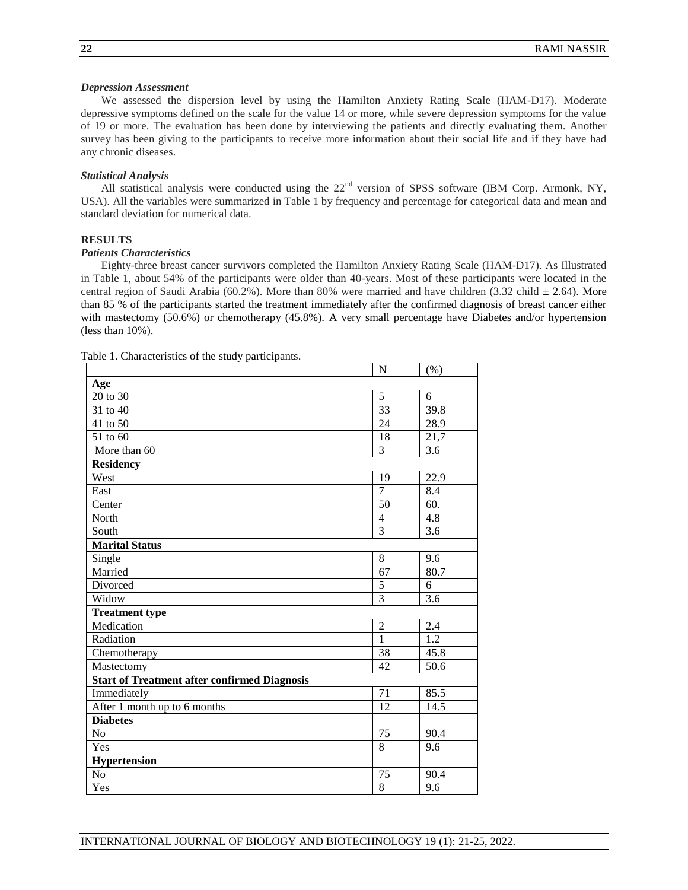### *Depression Assessment*

We assessed the dispersion level by using the Hamilton Anxiety Rating Scale (HAM-D17). Moderate depressive symptoms defined on the scale for the value 14 or more, while severe depression symptoms for the value of 19 or more. The evaluation has been done by interviewing the patients and directly evaluating them. Another survey has been giving to the participants to receive more information about their social life and if they have had any chronic diseases.

### *Statistical Analysis*

All statistical analysis were conducted using the  $22<sup>nd</sup>$  version of SPSS software (IBM Corp. Armonk, NY, USA). All the variables were summarized in Table 1 by frequency and percentage for categorical data and mean and standard deviation for numerical data.

## **RESULTS**

# *Patients Characteristics*

Eighty-three breast cancer survivors completed the Hamilton Anxiety Rating Scale (HAM-D17). As Illustrated in Table 1, about 54% of the participants were older than 40-years. Most of these participants were located in the central region of Saudi Arabia (60.2%). More than 80% were married and have children (3.32 child  $\pm$  2.64). More than 85 % of the participants started the treatment immediately after the confirmed diagnosis of breast cancer either with mastectomy (50.6%) or chemotherapy (45.8%). A very small percentage have Diabetes and/or hypertension (less than 10%).

Table 1. Characteristics of the study participants.

|                                                     | N                | (% )             |  |
|-----------------------------------------------------|------------------|------------------|--|
| Age                                                 |                  |                  |  |
| 20 to 30                                            | 5                | 6                |  |
| 31 to 40                                            | 33               | 39.8             |  |
| 41 to 50                                            | 24               | 28.9             |  |
| 51 to 60                                            | 18               | 21,7             |  |
| More than 60                                        | $\overline{3}$   | 3.6              |  |
| <b>Residency</b>                                    |                  |                  |  |
| West                                                | 19               | 22.9             |  |
| East                                                | $\overline{7}$   | 8.4              |  |
| Center                                              | 50               | 60.              |  |
| North                                               | $\overline{4}$   | 4.8              |  |
| South                                               | 3                | 3.6              |  |
| <b>Marital Status</b>                               |                  |                  |  |
| Single                                              | 8                | 9.6              |  |
| Married                                             | 67               | 80.7             |  |
| Divorced                                            | 5                | 6                |  |
| Widow                                               | $\overline{3}$   | $\overline{3.6}$ |  |
| <b>Treatment type</b>                               |                  |                  |  |
| Medication                                          | $\boldsymbol{2}$ | $2.4\,$          |  |
| Radiation                                           | $\overline{1}$   | $\overline{1.2}$ |  |
| Chemotherapy                                        | 38               | 45.8             |  |
| Mastectomy                                          | 42               | 50.6             |  |
| <b>Start of Treatment after confirmed Diagnosis</b> |                  |                  |  |
| Immediately                                         | 71               | 85.5             |  |
| After 1 month up to 6 months                        | 12               | 14.5             |  |
| <b>Diabetes</b>                                     |                  |                  |  |
| N <sub>o</sub>                                      | 75               | 90.4             |  |
| Yes                                                 | 8                | 9.6              |  |
| <b>Hypertension</b>                                 |                  |                  |  |
| No                                                  | 75               | 90.4             |  |
| Yes                                                 | $\overline{8}$   | 9.6              |  |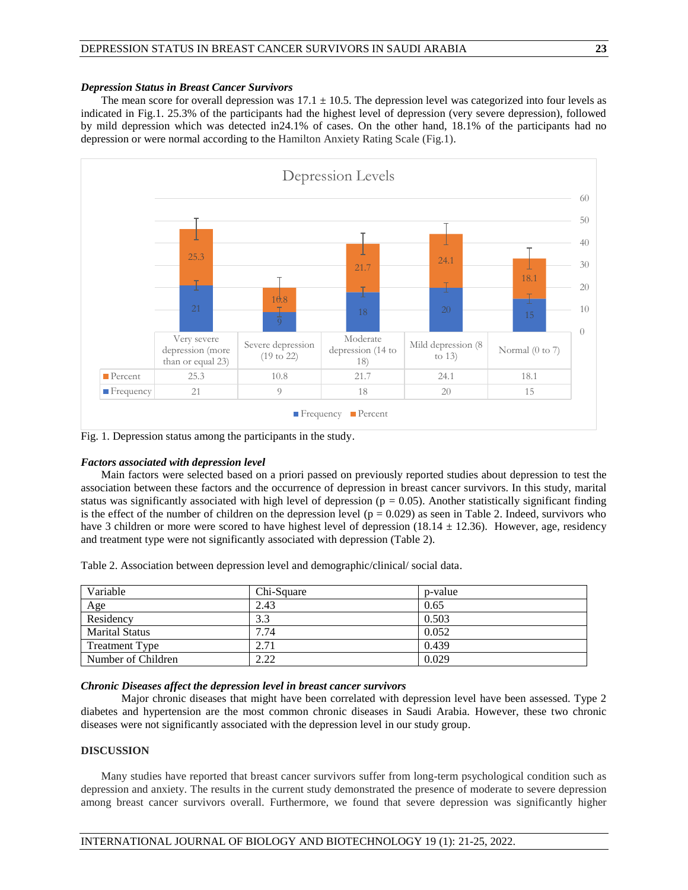The mean score for overall depression was  $17.1 \pm 10.5$ . The depression level was categorized into four levels as indicated in Fig.1. 25.3% of the participants had the highest level of depression (very severe depression), followed by mild depression which was detected in24.1% of cases. On the other hand, 18.1% of the participants had no depression or were normal according to the Hamilton Anxiety Rating Scale (Fig.1).



Fig. 1. Depression status among the participants in the study.

### *Factors associated with depression level*

Main factors were selected based on a priori passed on previously reported studies about depression to test the association between these factors and the occurrence of depression in breast cancer survivors. In this study, marital status was significantly associated with high level of depression ( $p = 0.05$ ). Another statistically significant finding is the effect of the number of children on the depression level ( $p = 0.029$ ) as seen in Table 2. Indeed, survivors who have 3 children or more were scored to have highest level of depression (18.14  $\pm$  12.36). However, age, residency and treatment type were not significantly associated with depression (Table 2).

Table 2. Association between depression level and demographic/clinical/ social data.

| Variable              | Chi-Square | p-value |
|-----------------------|------------|---------|
| Age                   | 2.43       | 0.65    |
| Residency             | 3.3        | 0.503   |
| <b>Marital Status</b> | 7.74       | 0.052   |
| <b>Treatment Type</b> | 2.71       | 0.439   |
| Number of Children    | 2.22       | 0.029   |

# *Chronic Diseases affect the depression level in breast cancer survivors*

Major chronic diseases that might have been correlated with depression level have been assessed. Type 2 diabetes and hypertension are the most common chronic diseases in Saudi Arabia. However, these two chronic diseases were not significantly associated with the depression level in our study group.

### **DISCUSSION**

Many studies have reported that breast cancer survivors suffer from long-term psychological condition such as depression and anxiety. The results in the current study demonstrated the presence of moderate to severe depression among breast cancer survivors overall. Furthermore, we found that severe depression was significantly higher

### INTERNATIONAL JOURNAL OF BIOLOGY AND BIOTECHNOLOGY 19 (1): 21-25, 2022.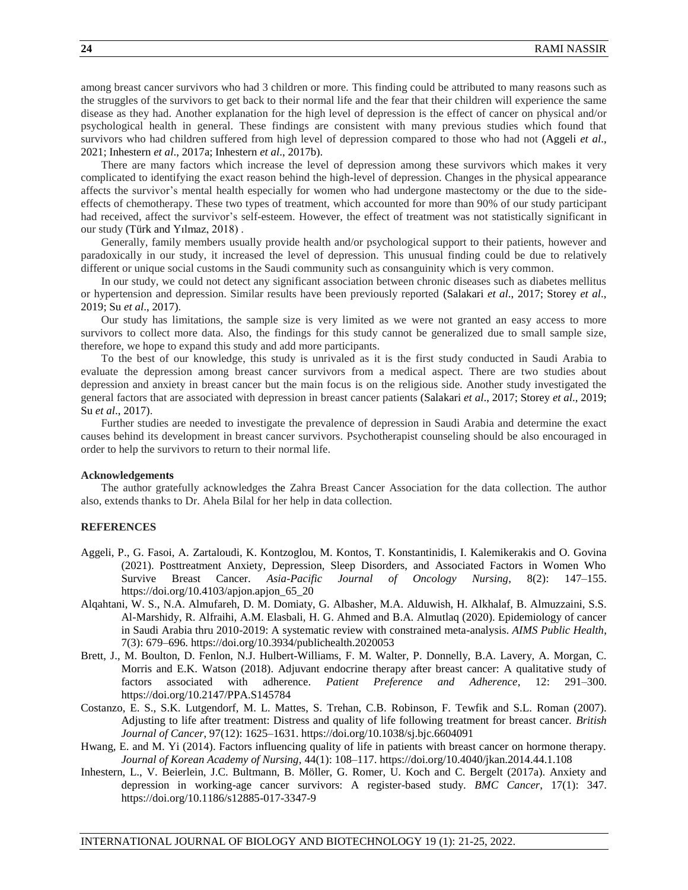among breast cancer survivors who had 3 children or more. This finding could be attributed to many reasons such as the struggles of the survivors to get back to their normal life and the fear that their children will experience the same disease as they had. Another explanation for the high level of depression is the effect of cancer on physical and/or psychological health in general. These findings are consistent with many previous studies which found that survivors who had children suffered from high level of depression compared to those who had not (Aggeli *et al*., 2021; Inhestern *et al*., 2017a; Inhestern *et al*., 2017b).

There are many factors which increase the level of depression among these survivors which makes it very complicated to identifying the exact reason behind the high-level of depression. Changes in the physical appearance affects the survivor's mental health especially for women who had undergone mastectomy or the due to the sideeffects of chemotherapy. These two types of treatment, which accounted for more than 90% of our study participant had received, affect the survivor's self-esteem. However, the effect of treatment was not statistically significant in our study (Türk and Yılmaz, 2018) .

Generally, family members usually provide health and/or psychological support to their patients, however and paradoxically in our study, it increased the level of depression. This unusual finding could be due to relatively different or unique social customs in the Saudi community such as consanguinity which is very common.

In our study, we could not detect any significant association between chronic diseases such as diabetes mellitus or hypertension and depression. Similar results have been previously reported (Salakari *et al*., 2017; Storey *et al*., 2019; Su *et al*., 2017).

Our study has limitations, the sample size is very limited as we were not granted an easy access to more survivors to collect more data. Also, the findings for this study cannot be generalized due to small sample size, therefore, we hope to expand this study and add more participants.

To the best of our knowledge, this study is unrivaled as it is the first study conducted in Saudi Arabia to evaluate the depression among breast cancer survivors from a medical aspect. There are two studies about depression and anxiety in breast cancer but the main focus is on the religious side. Another study investigated the general factors that are associated with depression in breast cancer patients (Salakari *et al*., 2017; Storey *et al*., 2019; Su *et al*., 2017).

Further studies are needed to investigate the prevalence of depression in Saudi Arabia and determine the exact causes behind its development in breast cancer survivors. Psychotherapist counseling should be also encouraged in order to help the survivors to return to their normal life.

#### **Acknowledgements**

The author gratefully acknowledges the Zahra Breast Cancer Association for the data collection. The author also, extends thanks to Dr. Ahela Bilal for her help in data collection.

### **REFERENCES**

- Aggeli, P., G. Fasoi, A. Zartaloudi, K. Kontzoglou, M. Kontos, T. Konstantinidis, I. Kalemikerakis and O. Govina (2021). Posttreatment Anxiety, Depression, Sleep Disorders, and Associated Factors in Women Who Survive Breast Cancer. *Asia-Pacific Journal of Oncology Nursing*, 8(2): 147–155. https://doi.org/10.4103/apjon.apjon\_65\_20
- Alqahtani, W. S., N.A. Almufareh, D. M. Domiaty, G. Albasher, M.A. Alduwish, H. Alkhalaf, B. Almuzzaini, S.S. Al-Marshidy, R. Alfraihi, A.M. Elasbali, H. G. Ahmed and B.A. Almutlaq (2020). Epidemiology of cancer in Saudi Arabia thru 2010-2019: A systematic review with constrained meta-analysis. *AIMS Public Health*, 7(3): 679–696. https://doi.org/10.3934/publichealth.2020053
- Brett, J., M. Boulton, D. Fenlon, N.J. Hulbert-Williams, F. M. Walter, P. Donnelly, B.A. Lavery, A. Morgan, C. Morris and E.K. Watson (2018). Adjuvant endocrine therapy after breast cancer: A qualitative study of factors associated with adherence. *Patient Preference and Adherence*, 12: 291–300. https://doi.org/10.2147/PPA.S145784
- Costanzo, E. S., S.K. Lutgendorf, M. L. Mattes, S. Trehan, C.B. Robinson, F. Tewfik and S.L. Roman (2007). Adjusting to life after treatment: Distress and quality of life following treatment for breast cancer. *British Journal of Cancer*, 97(12): 1625–1631. https://doi.org/10.1038/sj.bjc.6604091
- Hwang, E. and M. Yi (2014). Factors influencing quality of life in patients with breast cancer on hormone therapy. *Journal of Korean Academy of Nursing*, 44(1): 108–117. https://doi.org/10.4040/jkan.2014.44.1.108
- Inhestern, L., V. Beierlein, J.C. Bultmann, B. Möller, G. Romer, U. Koch and C. Bergelt (2017a). Anxiety and depression in working-age cancer survivors: A register-based study. *BMC Cancer*, 17(1): 347. https://doi.org/10.1186/s12885-017-3347-9